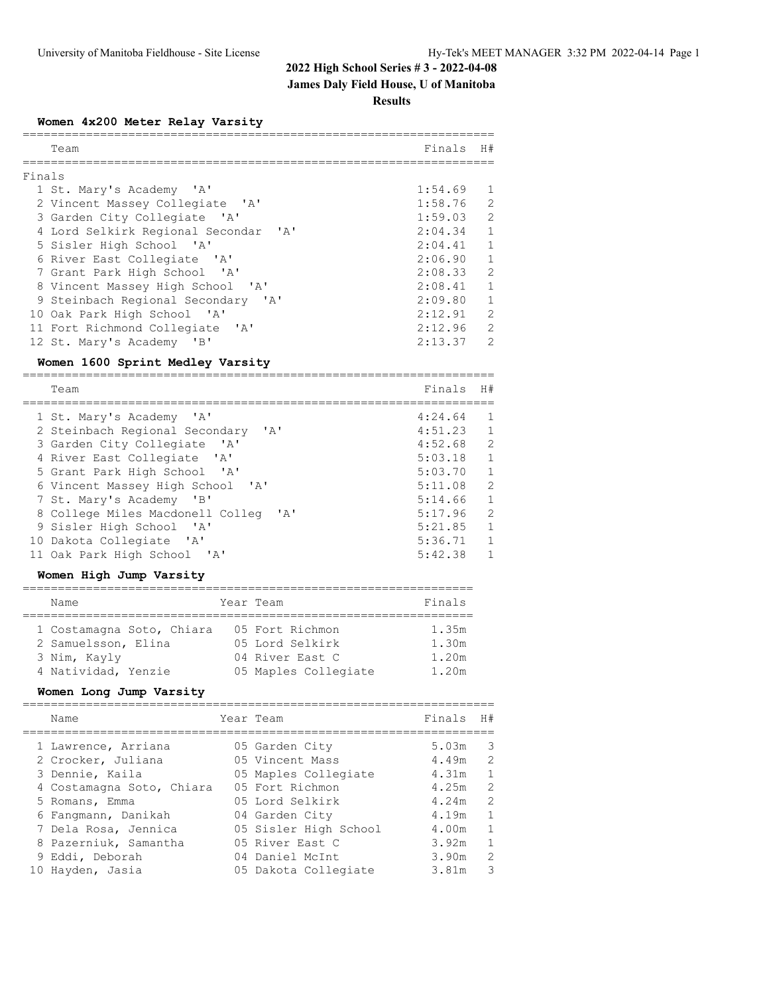### **James Daly Field House, U of Manitoba**

**Results**

**Women 4x200 Meter Relay Varsity**

|        | Team                                                                  | Finals  | H#             |
|--------|-----------------------------------------------------------------------|---------|----------------|
|        |                                                                       |         |                |
| Finals |                                                                       |         |                |
|        | 1 St. Mary's Academy 'A'                                              | 1:54.69 | $\mathbf{1}$   |
|        | 2 Vincent Massey Collegiate 'A'                                       | 1:58.76 | $\mathcal{L}$  |
|        | 3 Garden City Collegiate 'A'                                          | 1:59.03 | $\overline{2}$ |
|        | 4 Lord Selkirk Regional Secondar<br>$\mathsf{A}$                      | 2:04.34 | $\mathbf{1}$   |
|        | 5 Sisler High School 'A'                                              | 2:04.41 | $\mathbf{1}$   |
|        | 6 River East Collegiate 'A'                                           | 2:06.90 | $\overline{1}$ |
|        | 7 Grant Park High School 'A'                                          | 2:08.33 | $\overline{2}$ |
|        | 8 Vincent Massey High School 'A'                                      | 2:08.41 | $\mathbf{1}$   |
|        | 9 Steinbach Regional Secondary 'A'                                    | 2:09.80 | $\mathbf{1}$   |
|        | 10 Oak Park High School 'A'                                           | 2:12.91 | $\overline{2}$ |
|        | 11 Fort Richmond Collegiate 'A'                                       | 2:12.96 | 2              |
|        | 12 St. Mary's Academy<br>$^{\prime}$ B <sup><math>\prime</math></sup> | 2:13.37 | $\overline{2}$ |

#### **Women 1600 Sprint Medley Varsity**

===================================================================

| Team                                                        | Finals  | H#            |
|-------------------------------------------------------------|---------|---------------|
| 1 St. Mary's Academy 'A'                                    | 4:24.64 | $\mathbf{1}$  |
| 2 Steinbach Regional Secondary<br>$^{\prime}$ A $^{\prime}$ | 4:51.23 | $\mathbf{1}$  |
| 3 Garden City Collegiate 'A'                                | 4:52.68 | $\mathcal{L}$ |
| 4 River East Collegiate 'A'                                 | 5:03.18 | $\mathbf{1}$  |
| 5 Grant Park High School 'A'                                | 5:03.70 | $\mathbf{1}$  |
| 6 Vincent Massey High School 'A'                            | 5:11.08 | $\mathcal{L}$ |
| 7 St. Mary's Academy 'B'                                    | 5:14.66 | $\mathbf{1}$  |
| 8 College Miles Macdonell Colleg 'A'                        | 5:17.96 | $\mathcal{L}$ |
| 9 Sisler High School 'A'                                    | 5:21.85 | $\mathbf{1}$  |
| 10 Dakota Collegiate 'A'                                    | 5:36.71 | $\mathbf{1}$  |
| 11 Oak Park High School 'A'                                 | 5:42.38 | 1             |

### **Women High Jump Varsity**

| Name                      | Year Team            | Finals |
|---------------------------|----------------------|--------|
|                           |                      |        |
| 1 Costamagna Soto, Chiara | 05 Fort Richmon      | 1.35m  |
| 2 Samuelsson, Elina       | 05 Lord Selkirk      | 1.30m  |
| 3 Nim, Kayly              | 04 River East C      | 1.20m  |
| 4 Natividad, Yenzie       | 05 Maples Collegiate | 1.20m  |

#### **Women Long Jump Varsity**

|  | Name                      | Year Team             | Finals | H#             |
|--|---------------------------|-----------------------|--------|----------------|
|  | 1 Lawrence, Arriana       | 05 Garden City        | 5.03m  | - 3            |
|  | 2 Crocker, Juliana        | 05 Vincent Mass       | 4.49m  | 2              |
|  | 3 Dennie, Kaila           | 05 Maples Collegiate  | 4.31m  | $\mathbf{1}$   |
|  | 4 Costamagna Soto, Chiara | 05 Fort Richmon       | 4.25m  | $\overline{2}$ |
|  | 5 Romans, Emma            | 05 Lord Selkirk       | 4.24m  | $\overline{2}$ |
|  | 6 Fangmann, Danikah       | 04 Garden City        | 4.19m  | $\mathbf{1}$   |
|  | 7 Dela Rosa, Jennica      | 05 Sisler High School | 4.00m  | $\mathbf{1}$   |
|  | 8 Pazerniuk, Samantha     | 05 River East C       | 3.92m  | $\mathbf{1}$   |
|  | 9 Eddi, Deborah           | 04 Daniel McInt       | 3.90m  | $\overline{2}$ |
|  | 10 Hayden, Jasia          | 05 Dakota Collegiate  | 3.81m  | 3              |
|  |                           |                       |        |                |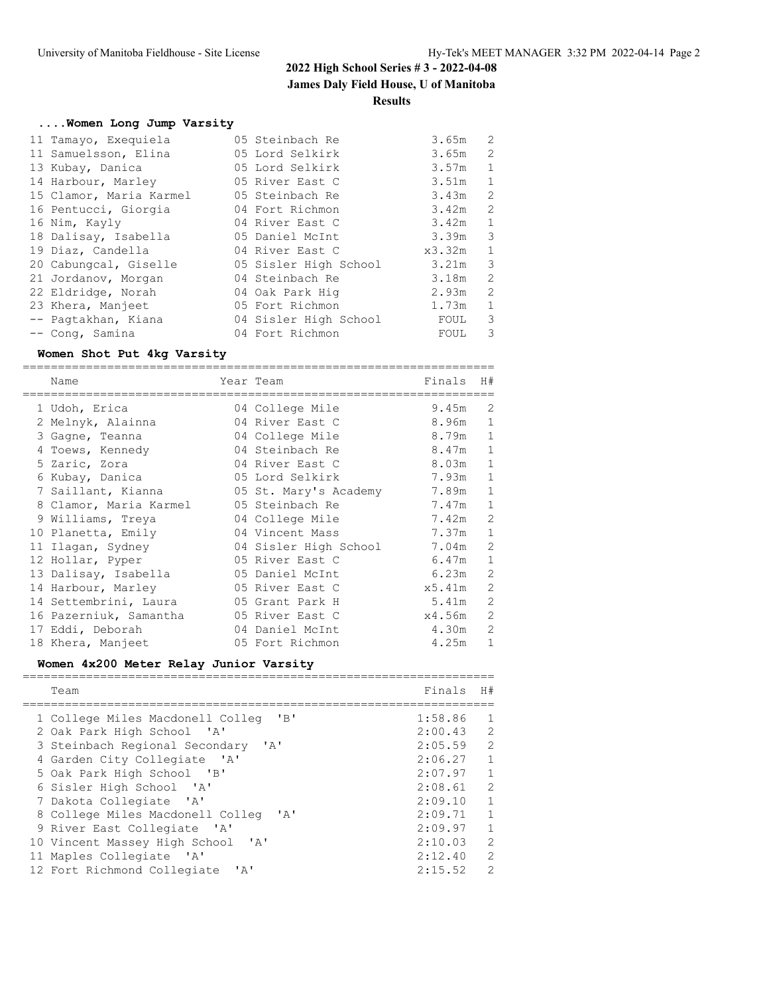**James Daly Field House, U of Manitoba**

**Results**

# **....Women Long Jump Varsity**

| 11 Tamayo, Exequiela    | 05 Steinbach Re       | 3.65m     | 2                        |
|-------------------------|-----------------------|-----------|--------------------------|
| 11 Samuelsson, Elina    | 05 Lord Selkirk       | 3.65m     | 2                        |
| 13 Kubay, Danica        | 05 Lord Selkirk       | 3.57m     | $\overline{1}$           |
| 14 Harbour, Marley      | 05 River East C       | 3.51m     | $\overline{1}$           |
| 15 Clamor, Maria Karmel | 05 Steinbach Re       | 3.43m     | $\overline{\phantom{0}}$ |
| 16 Pentucci, Giorgia    | 04 Fort Richmon       | $3.42m$ 2 |                          |
| 16 Nim, Kayly           | 04 River East C       | 3.42m     | $\overline{1}$           |
| 18 Dalisay, Isabella    | 05 Daniel McInt       | 3.39m     | $\mathcal{S}$            |
| 19 Diaz, Candella       | 04 River East C       | x3.32m    | $\overline{1}$           |
| 20 Cabungcal, Giselle   | 05 Sisler High School | 3.21m     | 3                        |
| 21 Jordanov, Morgan     | 04 Steinbach Re       | 3.18m     | $\overline{2}$           |
| 22 Eldridge, Norah      | 04 Oak Park Hig       | 2.93m     | 2                        |
| 23 Khera, Manjeet       | 05 Fort Richmon       | 1.73m     | 1                        |
| -- Pagtakhan, Kiana     | 04 Sisler High School | FOUL      | 3                        |
| -- Conq, Samina         | 04 Fort Richmon       | FOUL      | 3                        |

#### **Women Shot Put 4kg Varsity**

| ============           |                       |           |                |
|------------------------|-----------------------|-----------|----------------|
| Name                   | Year Team             | Finals    | H#             |
| 1 Udoh, Erica          | 04 College Mile       | 9.45m     | 2              |
| 2 Melnyk, Alainna      | 04 River East C       | 8.96m     | $\mathbf{1}$   |
| 3 Gagne, Teanna        | 04 College Mile       | 8.79m     | $\mathbf{1}$   |
| 4 Toews, Kennedy       | 04 Steinbach Re       | 8.47m     | $\mathbf{1}$   |
| 5 Zaric, Zora          | 04 River East C       | $8.03m$ 1 |                |
| 6 Kubay, Danica        | 05 Lord Selkirk       | 7.93m     | $\mathbf{1}$   |
| 7 Saillant, Kianna     | 05 St. Mary's Academy | 7.89m     | $\mathbf{1}$   |
| 8 Clamor, Maria Karmel | 05 Steinbach Re       | 7.47m     | $\mathbf{1}$   |
| 9 Williams, Treya      | 04 College Mile       | 7.42m     | $\overline{2}$ |
| 10 Planetta, Emily     | 04 Vincent Mass       | 7.37m     | $\mathbf{1}$   |
| 11 Ilagan, Sydney      | 04 Sisler High School | 7.04m     | 2              |
| 12 Hollar, Pyper       | 05 River East C       | 6.47m     | $\mathbf{1}$   |
| 13 Dalisay, Isabella   | 05 Daniel McInt       | 6.23m     | $\overline{2}$ |
| 14 Harbour, Marley     | 05 River East C       | x5.41m    | $\overline{2}$ |
| 14 Settembrini, Laura  | 05 Grant Park H       | 5.41m     | $\overline{2}$ |
| 16 Pazerniuk, Samantha | 05 River East C       | x4.56m    | $\overline{c}$ |
| 17 Eddi, Deborah       | 04 Daniel McInt       | 4.30m     | $\overline{2}$ |
| 18 Khera, Manjeet      | 05 Fort Richmon       | 4.25m     | $\mathbf{1}$   |

### **Women 4x200 Meter Relay Junior Varsity**

| H#                                                                                   |
|--------------------------------------------------------------------------------------|
|                                                                                      |
| -1                                                                                   |
| $\mathcal{L}$<br>2:00.43                                                             |
| $\mathcal{L}$                                                                        |
| 1                                                                                    |
| $\mathbf{1}$                                                                         |
| $\mathcal{L}$                                                                        |
| $\mathbf{1}$                                                                         |
| 1                                                                                    |
| $\mathbf{1}$                                                                         |
| $\mathcal{L}$                                                                        |
| $\mathcal{L}$                                                                        |
| $\mathcal{D}$                                                                        |
| 2:07.97<br>2:08.61<br>2:09.10<br>2:09.71<br>2:09.97<br>2:10.03<br>2:12.40<br>2:15.52 |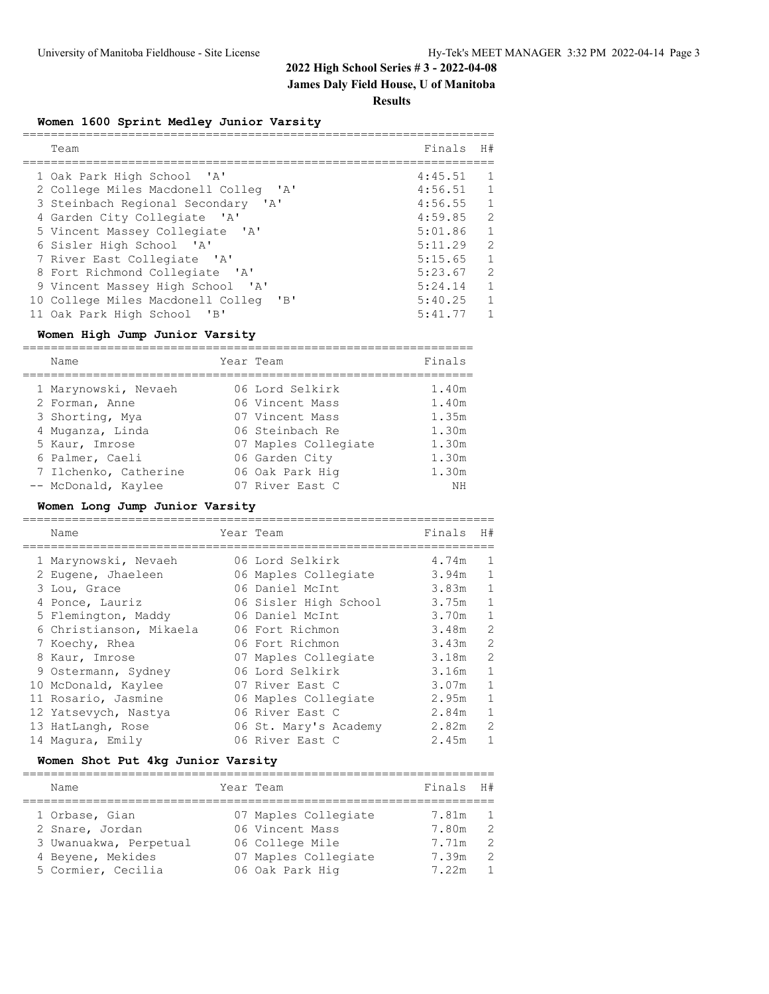# **James Daly Field House, U of Manitoba**

**Results**

### **Women 1600 Sprint Medley Junior Varsity**

| Team                                     | Finals  | H#            |
|------------------------------------------|---------|---------------|
| 1 Oak Park High School 'A'               | 4:45.51 |               |
| 2 College Miles Macdonell Colleg 'A'     | 4:56.51 | $\mathbf{1}$  |
| 3 Steinbach Regional Secondary 'A'       | 4:56.55 | $\mathbf{1}$  |
| 4 Garden City Collegiate 'A'             | 4:59.85 | $\mathcal{L}$ |
| 5 Vincent Massey Collegiate 'A'          | 5:01.86 | $\mathbf{1}$  |
| 6 Sisler High School 'A'                 | 5:11.29 | $\mathcal{P}$ |
| 7 River East Collegiate 'A'              | 5:15.65 | $\mathbf{1}$  |
| 8 Fort Richmond Collegiate 'A'           | 5:23.67 | $\mathcal{L}$ |
| 9 Vincent Massey High School 'A'         | 5:24.14 | $\mathbf{1}$  |
| 10 College Miles Macdonell Colleg<br>"B" | 5:40.25 | 1             |
| 11 Oak Park High School<br>$\mathsf{B}$  | 5:41.77 |               |

#### **Women High Jump Junior Varsity**

| Name                  | Year Team            | Finals |
|-----------------------|----------------------|--------|
| 1 Marynowski, Nevaeh  | 06 Lord Selkirk      | 1.40m  |
| 2 Forman, Anne        | 06 Vincent Mass      | 1.40m  |
| 3 Shorting, Mya       | 07 Vincent Mass      | 1.35m  |
| 4 Muganza, Linda      | 06 Steinbach Re      | 1.30m  |
| 5 Kaur, Imrose        | 07 Maples Collegiate | 1.30m  |
| 6 Palmer, Caeli       | 06 Garden City       | 1.30m  |
| 7 Ilchenko, Catherine | 06 Oak Park Hig      | 1.30m  |
| -- McDonald, Kaylee   | 07 River East C      | NΗ     |

### **Women Long Jump Junior Varsity**

| Name                    | Year Team             | Finals | H#             |
|-------------------------|-----------------------|--------|----------------|
| 1 Marynowski, Nevaeh    | 06 Lord Selkirk       | 4.74m  | 1              |
| 2 Eugene, Jhaeleen      | 06 Maples Collegiate  | 3.94m  |                |
| 3 Lou, Grace            | 06 Daniel McInt       | 3.83m  | $\mathbf{1}$   |
| 4 Ponce, Lauriz         | 06 Sisler High School | 3.75m  | $\mathbf{1}$   |
| 5 Flemington, Maddy     | 06 Daniel McInt       | 3.70m  | $\mathbf{1}$   |
| 6 Christianson, Mikaela | 06 Fort Richmon       | 3.48m  | $\overline{2}$ |
| 7 Koechy, Rhea          | 06 Fort Richmon       | 3.43m  | $\overline{2}$ |
| 8 Kaur, Imrose          | 07 Maples Collegiate  | 3.18m  | 2              |
| 9 Ostermann, Sydney     | 06 Lord Selkirk       | 3.16m  | $\mathbf{1}$   |
| 10 McDonald, Kaylee     | 07 River East C       | 3.07m  | 1              |
| 11 Rosario, Jasmine     | 06 Maples Collegiate  | 2.95m  | 1              |
| 12 Yatsevych, Nastya    | 06 River East C       | 2.84m  | $\mathbf{1}$   |
| 13 HatLangh, Rose       | 06 St. Mary's Academy | 2.82m  | $\mathcal{L}$  |
| 14 Magura, Emily        | 06 River East C       | 2.45m  | 1              |

#### **Women Shot Put 4kg Junior Varsity**

| Year Team<br>Name                                                                                      |                                                                                                       | Finals<br>H#                                                                         |                               |
|--------------------------------------------------------------------------------------------------------|-------------------------------------------------------------------------------------------------------|--------------------------------------------------------------------------------------|-------------------------------|
| 1 Orbase, Gian<br>2 Snare, Jordan<br>3 Uwanuakwa, Perpetual<br>4 Beyene, Mekides<br>5 Cormier, Cecilia | 07 Maples Collegiate<br>06 Vincent Mass<br>06 College Mile<br>07 Maples Collegiate<br>06 Oak Park Hig | 7.81m<br>$\overline{1}$<br>$\overline{2}$<br>7.80m<br>- 2<br>7.71m<br>7.39m<br>7.22m | $\mathcal{P}$<br>$\mathbf{1}$ |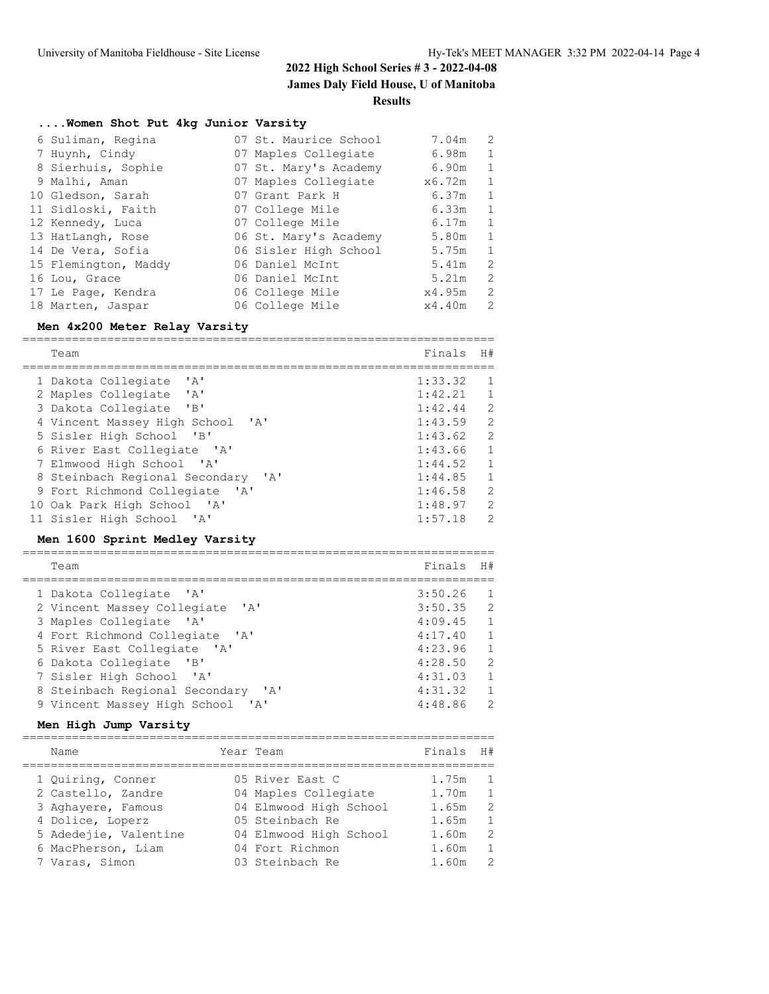**James Daly Field House, U of Manitoba**

**Results**

### **....Women Shot Put 4kg Junior Varsity**

| 6 Suliman, Regina    | 07 St. Maurice School | 7.04m  | 2            |
|----------------------|-----------------------|--------|--------------|
| 7 Huynh, Cindy       | 07 Maples Collegiate  | 6.98m  | 1            |
| 8 Sierhuis, Sophie   | 07 St. Mary's Academy | 6.90m  | $\mathbf{1}$ |
| 9 Malhi, Aman        | 07 Maples Collegiate  | x6.72m | $\mathbf{1}$ |
| 10 Gledson, Sarah    | 07 Grant Park H       | 6.37m  | $\mathbf{1}$ |
| 11 Sidloski, Faith   | 07 College Mile       | 6.33m  | 1            |
| 12 Kennedy, Luca     | 07 College Mile       | 6.17m  | 1            |
| 13 HatLangh, Rose    | 06 St. Mary's Academy | 5.80m  | $\mathbf{1}$ |
| 14 De Vera, Sofia    | 06 Sisler High School | 5.75m  | 1            |
| 15 Flemington, Maddy | 06 Daniel McInt       | 5.41m  | 2            |
| 16 Lou, Grace        | 06 Daniel McInt       | 5.21m  | 2            |
| 17 Le Page, Kendra   | 06 College Mile       | x4.95m | 2            |
| 18 Marten, Jaspar    | 06 College Mile       | x4.40m | 2            |

#### **Men 4x200 Meter Relay Varsity**

| Team                                                                | Finals  | H#             |
|---------------------------------------------------------------------|---------|----------------|
| $\mathsf{I}$ $\mathsf{A}$ $\mathsf{I}$<br>1 Dakota Collegiate       | 1:33.32 |                |
| $\mathsf{I} \wedge \mathsf{I}$<br>2 Maples Collegiate               | 1:42.21 |                |
| $^{\prime}$ B <sup><math>\prime</math></sup><br>3 Dakota Collegiate | 1:42.44 | $\overline{2}$ |
| 4 Vincent Massey High School<br>$\mathsf{A}$                        | 1:43.59 | $\mathcal{L}$  |
| 5 Sisler High School 'B'                                            | 1:43.62 | $\mathcal{L}$  |
| 6 River East Collegiate 'A'                                         | 1:43.66 | 1              |
| 7 Elmwood High School 'A'                                           | 1:44.52 | $\mathbf{1}$   |
| 8 Steinbach Regional Secondary 'A'                                  | 1:44.85 | $\mathbf{1}$   |
| 9 Fort Richmond Collegiate 'A'                                      | 1:46.58 | $\mathcal{L}$  |
| 10 Oak Park High School 'A'                                         | 1:48.97 | $\mathcal{L}$  |
| 11 Sisler High School 'A'                                           | 1:57.18 | $\mathcal{P}$  |

#### **Men 1600 Sprint Medley Varsity**

=================================================================== Team Finals H# =================================================================== 1 Dakota Collegiate 'A' 3:50.26 1 2 Vincent Massey Collegiate 'A' 3:50.35 2<br>3 Maples Collegiate 'A' 4:09.45 1 3 Maples Collegiate 'A' 4:09.45 1<br>4 Fort Richmond Collegiate 'A' 4:17.40 1 4 Fort Richmond Collegiate 'A' 4:17.40 1<br>5 River East Collegiate 'A' 4:23.96 1 5 River East Collegiate 'A' 4:23.96 1 6 Dakota Collegiate 'B' 7 Sisler High School 'A' 4:31.03 1 8 Steinbach Regional Secondary 'A' 4:31.32 1 9 Vincent Massey High School 'A' 4:48.86 2

#### **Men High Jump Varsity**

|  | Name                                    | Year Team                               | Finals         | H#                 |
|--|-----------------------------------------|-----------------------------------------|----------------|--------------------|
|  | 1 Quiring, Conner<br>2 Castello, Zandre | 05 River East C<br>04 Maples Collegiate | 1.75m<br>1.70m | -1<br>$\mathbf{1}$ |
|  | 3 Aghayere, Famous                      | 04 Elmwood High School                  | 1.65m          | $\mathcal{L}$      |
|  | 4 Dolice, Loperz                        | 05 Steinbach Re                         | 1.65m          | $\overline{1}$     |
|  | 5 Adedejie, Valentine                   | 04 Elmwood High School                  | 1.60m          | $\mathcal{L}$      |
|  | 6 MacPherson, Liam                      | 04 Fort Richmon                         | 1.60m          | $\mathbf{1}$       |
|  | 7 Varas, Simon                          | 03 Steinbach Re                         | 1.60m          | $\mathcal{L}$      |
|  |                                         |                                         |                |                    |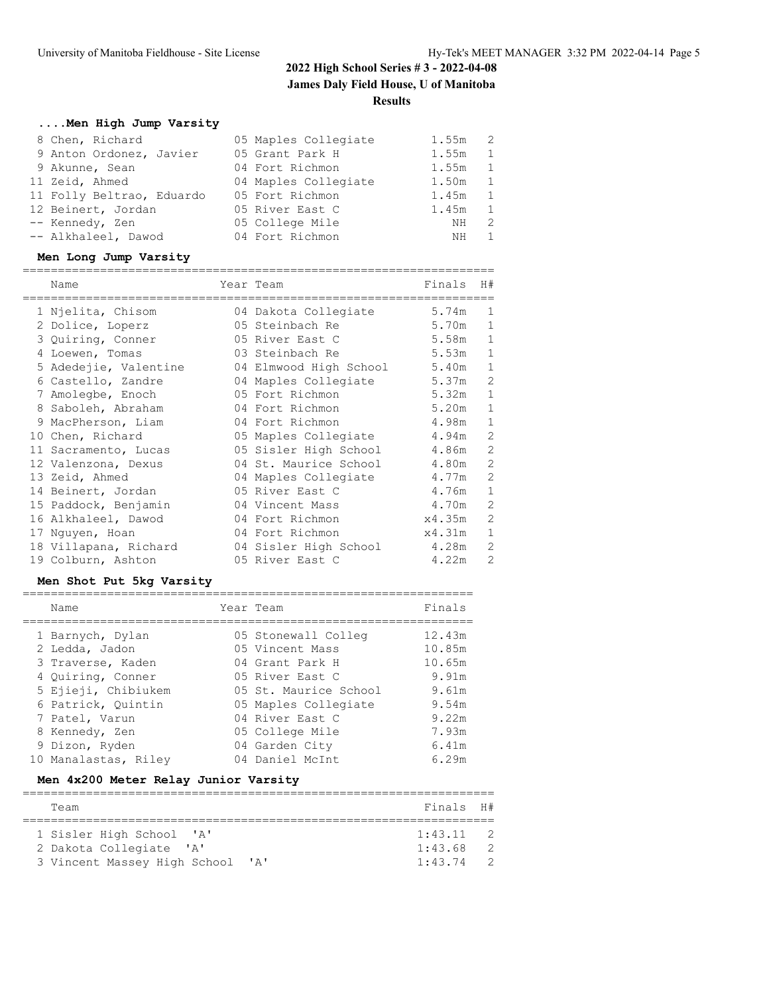# **2022 High School Series # 3 - 2022-04-08 James Daly Field House, U of Manitoba Results**

# **....Men High Jump Varsity**

| 8 Chen, Richard           | 05 Maples Collegiate | 1.55m | -2.          |
|---------------------------|----------------------|-------|--------------|
| 9 Anton Ordonez, Javier   | 05 Grant Park H      | 1.55m | 1            |
| 9 Akunne, Sean            | 04 Fort Richmon      | 1.55m | 1            |
| 11 Zeid, Ahmed            | 04 Maples Collegiate | 1.50m | 1            |
| 11 Folly Beltrao, Eduardo | 05 Fort Richmon      | 1.45m | <sup>1</sup> |
| 12 Beinert, Jordan        | 05 River East C      | 1.45m | 1            |
| -- Kennedy, Zen           | 05 College Mile      | NH    | 2            |
| -- Alkhaleel, Dawod       | 04 Fort Richmon      | NH    | 1            |

#### **Men Long Jump Varsity**

| Name                  | Year Team              | Finals | H#             |
|-----------------------|------------------------|--------|----------------|
| 1 Njelita, Chisom     | 04 Dakota Collegiate   | 5.74m  | 1              |
| 2 Dolice, Loperz      | 05 Steinbach Re        | 5.70m  | 1              |
| 3 Quiring, Conner     | 05 River East C        | 5.58m  | $\mathbf{1}$   |
| 4 Loewen, Tomas       | 03 Steinbach Re        | 5.53m  | $\mathbf{1}$   |
| 5 Adedejie, Valentine | 04 Elmwood High School | 5.40m  | $\mathbf{1}$   |
| 6 Castello, Zandre    | 04 Maples Collegiate   | 5.37m  | $\overline{2}$ |
| 7 Amolegbe, Enoch     | 05 Fort Richmon        | 5.32m  | $\mathbf{1}$   |
| 8 Saboleh, Abraham    | 04 Fort Richmon        | 5.20m  | $\mathbf{1}$   |
| 9 MacPherson, Liam    | 04 Fort Richmon        | 4.98m  | $\mathbf{1}$   |
| 10 Chen, Richard      | 05 Maples Collegiate   | 4.94m  | $\overline{c}$ |
| 11 Sacramento, Lucas  | 05 Sisler High School  | 4.86m  | 2              |
| 12 Valenzona, Dexus   | 04 St. Maurice School  | 4.80m  | $\overline{2}$ |
| 13 Zeid, Ahmed        | 04 Maples Collegiate   | 4.77m  | $\overline{2}$ |
| 14 Beinert, Jordan    | 05 River East C        | 4.76m  | $\mathbf{1}$   |
| 15 Paddock, Benjamin  | 04 Vincent Mass        | 4.70m  | $\overline{2}$ |
| 16 Alkhaleel, Dawod   | 04 Fort Richmon        | x4.35m | $\overline{2}$ |
| 17 Nguyen, Hoan       | 04 Fort Richmon        | x4.31m | $\mathbf{1}$   |
| 18 Villapana, Richard | 04 Sisler High School  | 4.28m  | $\overline{2}$ |
| 19 Colburn, Ashton    | 05 River East C        | 4.22m  | $\overline{2}$ |

### **Men Shot Put 5kg Varsity**

| Name                 |  | Finals                                                                                                                                                                                                                |
|----------------------|--|-----------------------------------------------------------------------------------------------------------------------------------------------------------------------------------------------------------------------|
| 1 Barnych, Dylan     |  | 12.43m                                                                                                                                                                                                                |
| 2 Ledda, Jadon       |  | 10.85m                                                                                                                                                                                                                |
| 3 Traverse, Kaden    |  | 10.65m                                                                                                                                                                                                                |
| 4 Quiring, Conner    |  | 9.91m                                                                                                                                                                                                                 |
| 5 Ejieji, Chibiukem  |  | 9.61m                                                                                                                                                                                                                 |
| 6 Patrick, Ouintin   |  | 9.54m                                                                                                                                                                                                                 |
| 7 Patel, Varun       |  | 9.22m                                                                                                                                                                                                                 |
| 8 Kennedy, Zen       |  | 7.93m                                                                                                                                                                                                                 |
| 9 Dizon, Ryden       |  | 6.41m                                                                                                                                                                                                                 |
| 10 Manalastas, Riley |  | 6.29m                                                                                                                                                                                                                 |
|                      |  | Year Team<br>05 Stonewall Colleg<br>05 Vincent Mass<br>04 Grant Park H<br>05 River East C<br>05 St. Maurice School<br>05 Maples Collegiate<br>04 River East C<br>05 College Mile<br>04 Garden City<br>04 Daniel McInt |

### **Men 4x200 Meter Relay Junior Varsity**

| Team                             | Finals H#   |  |  |  |  |  |  |
|----------------------------------|-------------|--|--|--|--|--|--|
|                                  |             |  |  |  |  |  |  |
| 1 Sisler High School 'A'         | $1:43.11$ 2 |  |  |  |  |  |  |
| 2 Dakota Collegiate 'A'          | 1:43.68     |  |  |  |  |  |  |
| 3 Vincent Massey High School 'A' | 1:43.74     |  |  |  |  |  |  |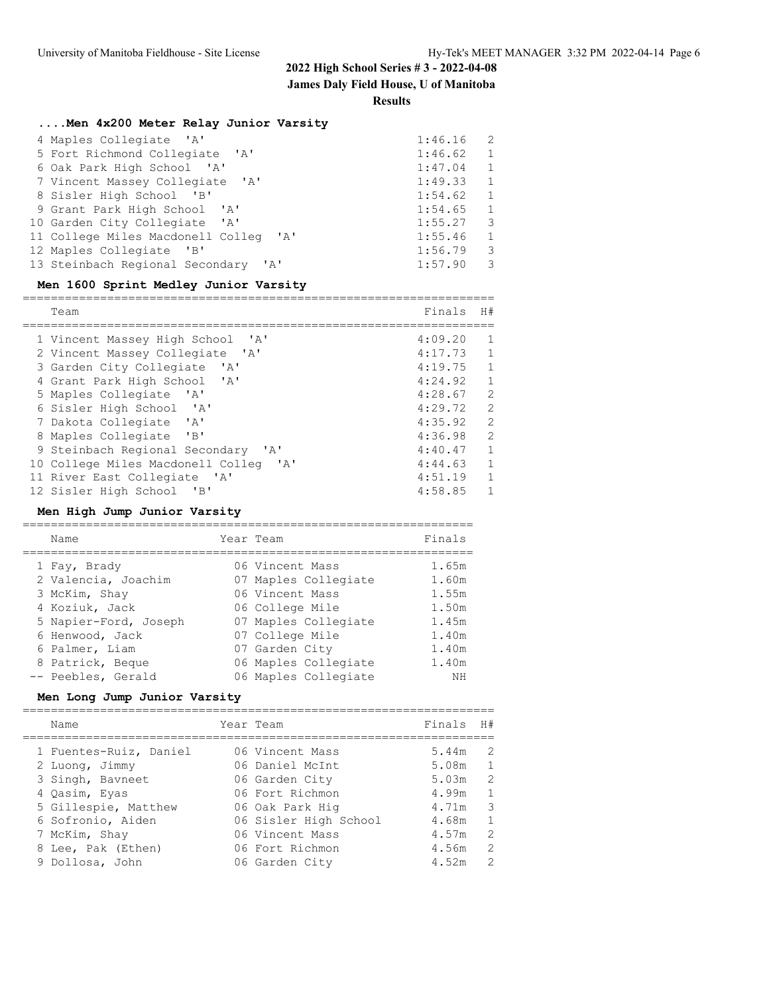**James Daly Field House, U of Manitoba**

#### **Results**

# **....Men 4x200 Meter Relay Junior Varsity**

| 4 Maples Collegiate 'A'                 | 1:46.16 | 2              |
|-----------------------------------------|---------|----------------|
| 5 Fort Richmond Collegiate 'A'          | 1:46.62 | 1              |
| 6 Oak Park High School 'A'              | 1:47.04 | $\mathbf{1}$   |
| 7 Vincent Massey Collegiate 'A'         | 1:49.33 | 1              |
| 8 Sisler High School 'B'                | 1:54.62 | 1              |
| 9 Grant Park High School 'A'            | 1:54.65 | $\overline{1}$ |
| 10 Garden City Collegiate 'A'           | 1:55.27 | 3              |
| 11 College Miles Macdonell Colleg 'A'   | 1:55.46 | 1              |
| 12 Maples Collegiate 'B'                | 1:56.79 | 3              |
| 13 Steinbach Regional Secondary<br>' A' | 1:57.90 | 3              |

### **Men 1600 Sprint Medley Junior Varsity**

| Team                                           | Finals  | H#             |  |  |  |  |
|------------------------------------------------|---------|----------------|--|--|--|--|
|                                                |         |                |  |  |  |  |
| 1 Vincent Massey High School 'A'               | 4:09.20 |                |  |  |  |  |
| 2 Vincent Massey Collegiate 'A'                | 4:17.73 |                |  |  |  |  |
| 3 Garden City Collegiate 'A'                   | 4:19.75 | 1              |  |  |  |  |
| 4 Grant Park High School 'A'                   | 4:24.92 |                |  |  |  |  |
| 5 Maples Collegiate 'A'                        | 4:28.67 | $\mathcal{L}$  |  |  |  |  |
| 6 Sisler High School 'A'                       | 4:29.72 | 2              |  |  |  |  |
| 7 Dakota Collegiate 'A'                        | 4:35.92 | $\mathfrak{D}$ |  |  |  |  |
| 8 Maples Collegiate 'B'                        | 4:36.98 | $\mathcal{L}$  |  |  |  |  |
| 9 Steinbach Regional Secondary<br>$\mathsf{A}$ | 4:40.47 |                |  |  |  |  |
| 10 College Miles Macdonell Colleg 'A'          | 4:44.63 | 1              |  |  |  |  |
| 11 River East Collegiate 'A'                   | 4:51.19 |                |  |  |  |  |
| 12 Sisler High School<br>"B"                   | 4:58.85 |                |  |  |  |  |

### **Men High Jump Junior Varsity**

| Name                  | Year Team            | Finals |
|-----------------------|----------------------|--------|
| 1 Fay, Brady          | 06 Vincent Mass      | 1.65m  |
| 2 Valencia, Joachim   | 07 Maples Collegiate | 1.60m  |
| 3 McKim, Shay         | 06 Vincent Mass      | 1.55m  |
| 4 Koziuk, Jack        | 06 College Mile      | 1.50m  |
| 5 Napier-Ford, Joseph | 07 Maples Collegiate | 1.45m  |
| 6 Henwood, Jack       | 07 College Mile      | 1.40m  |
| 6 Palmer, Liam        | 07 Garden City       | 1.40m  |
| 8 Patrick, Beque      | 06 Maples Collegiate | 1.40m  |
| -- Peebles, Gerald    | 06 Maples Collegiate | NΗ     |

### **Men Long Jump Junior Varsity**

|  | Name                   | Year Team             | Finals | H#             |
|--|------------------------|-----------------------|--------|----------------|
|  | 1 Fuentes-Ruiz, Daniel | 06 Vincent Mass       | 5.44m  | 2              |
|  | 2 Luong, Jimmy         | 06 Daniel McInt       | 5.08m  | $\overline{1}$ |
|  | 3 Singh, Bavneet       | 06 Garden City        | 5.03m  | 2              |
|  | 4 Qasim, Eyas          | 06 Fort Richmon       | 4.99m  | $\mathbf{1}$   |
|  | 5 Gillespie, Matthew   | 06 Oak Park Hig       | 4.71m  | 3              |
|  | 6 Sofronio, Aiden      | 06 Sisler High School | 4.68m  | $\mathbf{1}$   |
|  | 7 McKim, Shay          | 06 Vincent Mass       | 4.57m  | $\overline{2}$ |
|  | 8 Lee, Pak (Ethen)     | 06 Fort Richmon       | 4.56m  | $\overline{2}$ |
|  | 9 Dollosa, John        | 06 Garden City        | 4.52m  | $\mathcal{L}$  |
|  |                        |                       |        |                |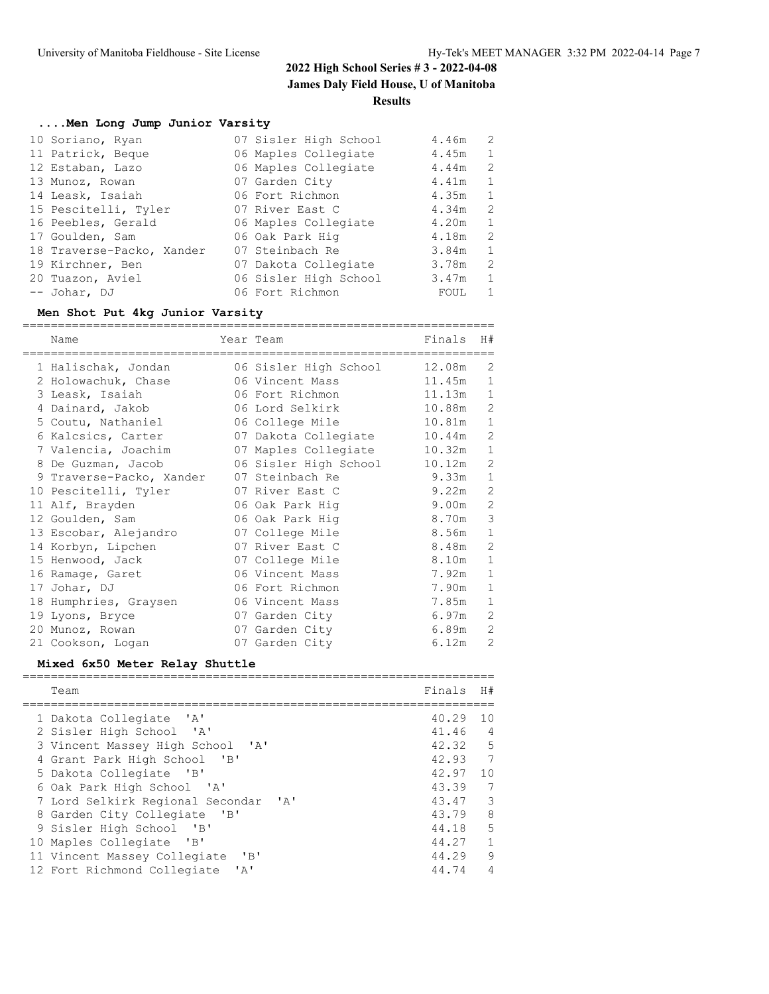**James Daly Field House, U of Manitoba**

**Results**

# **....Men Long Jump Junior Varsity**

| 07 Sisler High School | 4.46m | 2            |
|-----------------------|-------|--------------|
| 06 Maples Collegiate  | 4.45m | $\mathbf{1}$ |
| 06 Maples Collegiate  | 4.44m | 2            |
| 07 Garden City        | 4.41m | $\mathbf{1}$ |
| 06 Fort Richmon       | 4.35m | $\mathbf{1}$ |
| 07 River East C       | 4.34m | 2            |
| 06 Maples Collegiate  | 4.20m | $\mathbf{1}$ |
| 06 Oak Park Hig       | 4.18m | 2            |
| 07 Steinbach Re       | 3.84m | $\mathbf{1}$ |
| 07 Dakota Collegiate  | 3.78m | 2            |
| 06 Sisler High School | 3.47m | 1            |
| 06 Fort Richmon       | FOUL  | 1            |
|                       |       |              |

### **Men Shot Put 4kg Junior Varsity**

|   | Name                     | Year Team             | Finals | H#             |
|---|--------------------------|-----------------------|--------|----------------|
|   | 1 Halischak, Jondan      | 06 Sisler High School | 12.08m | 2              |
|   | 2 Holowachuk, Chase      | 06 Vincent Mass       | 11.45m | $\mathbf{1}$   |
|   | 3 Leask, Isaiah          | 06 Fort Richmon       | 11.13m | $\mathbf{1}$   |
|   | 4 Dainard, Jakob         | 06 Lord Selkirk       | 10.88m | $\overline{c}$ |
|   | 5 Coutu, Nathaniel       | 06 College Mile       | 10.81m | $\mathbf{1}$   |
|   | 6 Kalcsics, Carter       | 07 Dakota Collegiate  | 10.44m | $\overline{2}$ |
|   | 7 Valencia, Joachim      | 07 Maples Collegiate  | 10.32m | $\mathbf{1}$   |
| 8 | De Guzman, Jacob         | 06 Sisler High School | 10.12m | $\overline{2}$ |
|   | 9 Traverse-Packo, Xander | 07 Steinbach Re       | 9.33m  | $\mathbf{1}$   |
|   | 10 Pescitelli, Tyler     | 07 River East C       | 9.22m  | $\overline{2}$ |
|   | 11 Alf, Brayden          | 06 Oak Park Hig       | 9.00m  | $\overline{2}$ |
|   | 12 Goulden, Sam          | 06 Oak Park Hig       | 8.70m  | 3              |
|   | 13 Escobar, Alejandro    | 07 College Mile       | 8.56m  | $\mathbf{1}$   |
|   | 14 Korbyn, Lipchen       | 07 River East C       | 8.48m  | $\overline{2}$ |
|   | 15 Henwood, Jack         | 07 College Mile       | 8.10m  | $\mathbf{1}$   |
|   | 16 Ramage, Garet         | 06 Vincent Mass       | 7.92m  | $\mathbf{1}$   |
|   | 17 Johar, DJ             | 06 Fort Richmon       | 7.90m  | $\mathbf{1}$   |
|   | 18 Humphries, Graysen    | 06 Vincent Mass       | 7.85m  | $\mathbf{1}$   |
|   | 19 Lyons, Bryce          | 07 Garden City        | 6.97m  | $\overline{2}$ |
|   | 20 Munoz, Rowan          | 07 Garden City        | 6.89m  | $\overline{2}$ |
|   | 21 Cookson, Logan        | 07 Garden City        | 6.12m  | $\overline{2}$ |

### **Mixed 6x50 Meter Relay Shuttle**

| Team                                             | Finals      | H#             |
|--------------------------------------------------|-------------|----------------|
|                                                  |             |                |
| 1 Dakota Collegiate 'A'                          | 40.29       | 10             |
| 2 Sisler High School 'A'                         | 41.46       | $\overline{4}$ |
| 3 Vincent Massey High School 'A'                 | $42.32 - 5$ |                |
| 4 Grant Park High School 'B'                     | 42.93       | $\overline{7}$ |
| 5 Dakota Collegiate 'B'                          | 42.97       | 10             |
| 6 Oak Park High School 'A'                       | 43.39       | 7              |
| 7 Lord Selkirk Regional Secondar<br>$\mathsf{A}$ | 43.47       | 3              |
| 8 Garden City Collegiate 'B'                     | 43.79       | 8              |
| 9 Sisler High School 'B'                         | 44.18       | 5              |
| 10 Maples Collegiate 'B'                         | 44.27       | $\mathbf{1}$   |
| 11 Vincent Massey Collegiate 'B'                 | 44.29       | 9              |
| 12 Fort Richmond Collegiate 'A'                  | 44.74       | 4              |
|                                                  |             |                |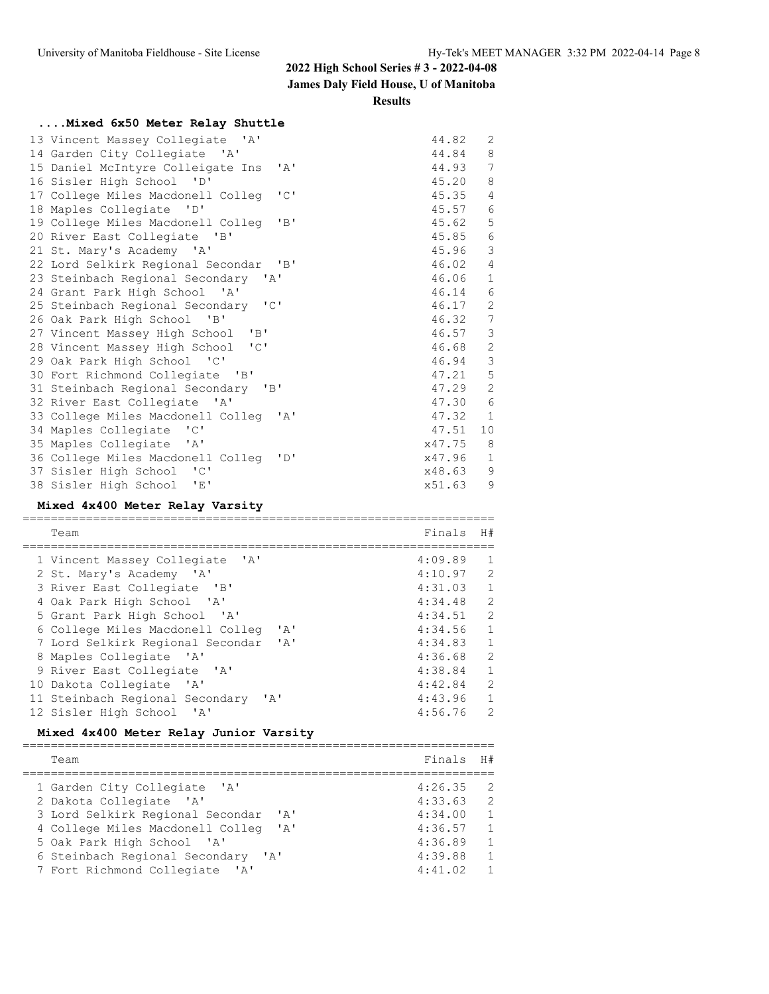# **James Daly Field House, U of Manitoba**

**Results**

# **....Mixed 6x50 Meter Relay Shuttle**

|  | 13 Vincent Massey Collegiate 'A'                   | 44.82    | $\overline{2}$ |
|--|----------------------------------------------------|----------|----------------|
|  | 14 Garden City Collegiate 'A'                      | 44.84 8  |                |
|  | 15 Daniel McIntyre Colleigate Ins<br>' A'          | 44.93    | 7              |
|  | 16 Sisler High School 'D'                          | 45.20 8  |                |
|  | $\mathsf{TC}$<br>17 College Miles Macdonell Colleg | 45.35 4  |                |
|  | 18 Maples Collegiate 'D'                           | 45.57    | $\epsilon$     |
|  | $'$ $B'$<br>19 College Miles Macdonell Colleg      | 45.62    | 5              |
|  | 20 River East Collegiate 'B'                       | 45.85    | $\sqrt{6}$     |
|  | 21 St. Mary's Academy 'A'                          | 45.96    | 3              |
|  | 22 Lord Selkirk Regional Secondar 'B'              | 46.02    | $\overline{4}$ |
|  | 23 Steinbach Regional Secondary 'A'                | 46.06    | $\mathbf{1}$   |
|  | 24 Grant Park High School 'A'                      | 46.14 6  |                |
|  | 25 Steinbach Regional Secondary 'C'                | 46.17 2  |                |
|  | 26 Oak Park High School 'B'                        | 46.32 7  |                |
|  | 27 Vincent Massey High School 'B'                  | 46.57    | $\mathcal{E}$  |
|  | 28 Vincent Massey High School 'C'                  | 46.68    | 2              |
|  | 29 Oak Park High School 'C'                        | 46.94    | $\mathcal{S}$  |
|  | 30 Fort Richmond Collegiate 'B'                    | 47.21    | 5              |
|  | 31 Steinbach Regional Secondary 'B'                | 47.29    | 2              |
|  | 32 River East Collegiate 'A'                       | 47.30 6  |                |
|  | 33 College Miles Macdonell Colleg 'A'              | 47.32    | $\overline{1}$ |
|  | 34 Maples Collegiate 'C'                           | 47.51    | 10             |
|  | 35 Maples Collegiate 'A'                           | x47.75 8 |                |
|  | 36 College Miles Macdonell Colleg 'D'              | x47.96   | $\mathbf{1}$   |
|  | 37 Sisler High School 'C'                          | x48.63 9 |                |
|  | 38 Sisler High School<br>'E'                       | x51.63   | 9              |

#### **Mixed 4x400 Meter Relay Varsity**

| Team                                                          | Finals  | H#             |
|---------------------------------------------------------------|---------|----------------|
|                                                               |         |                |
| 1 Vincent Massey Collegiate 'A'                               | 4:09.89 | $\mathbf{1}$   |
| 2 St. Mary's Academy 'A'                                      | 4:10.97 | 2              |
| 3 River East Collegiate 'B'                                   | 4:31.03 | $\overline{1}$ |
| 4 Oak Park High School 'A'                                    | 4:34.48 | 2              |
| 5 Grant Park High School 'A'                                  | 4:34.51 | 2              |
| 6 College Miles Macdonell Colleg<br>' A'                      | 4:34.56 | $\mathbf{1}$   |
| $\mathbf{I}$ $\mathbf{A}$<br>7 Lord Selkirk Regional Secondar | 4:34.83 | $\mathbf{1}$   |
| 8 Maples Collegiate 'A'                                       | 4:36.68 | 2              |
| 9 River East Collegiate 'A'                                   | 4:38.84 | $\mathbf{1}$   |
| 10 Dakota Collegiate 'A'                                      | 4:42.84 | 2              |
| 11 Steinbach Regional Secondary<br>' A'                       | 4:43.96 | $\mathbf{1}$   |
| 12 Sisler High School<br>$^{\prime}$ A $^{\prime}$            | 4:56.76 | $\mathcal{L}$  |

### **Mixed 4x400 Meter Relay Junior Varsity**

|  | Team                                                                       | Finals  | H#             |
|--|----------------------------------------------------------------------------|---------|----------------|
|  | 1 Garden City Collegiate 'A'                                               | 4:26.35 | $\overline{2}$ |
|  | 2 Dakota Collegiate 'A'                                                    | 4:33.63 | $\overline{2}$ |
|  | 3 Lord Selkirk Regional Secondar<br>$\mathsf{r}_{\mathsf{A}}$              | 4:34.00 | $\overline{1}$ |
|  | 4 College Miles Macdonell Colleg<br>$\mathsf{I}$ $\mathsf{A}$ $\mathsf{I}$ | 4:36.57 | $\overline{1}$ |
|  | 5 Oak Park High School 'A'                                                 | 4:36.89 | $\overline{1}$ |
|  | 6 Steinbach Regional Secondary 'A'                                         | 4:39.88 | $\mathbf{1}$   |
|  | 7 Fort Richmond Collegiate 'A'                                             | 4:41.02 | $\overline{1}$ |
|  |                                                                            |         |                |